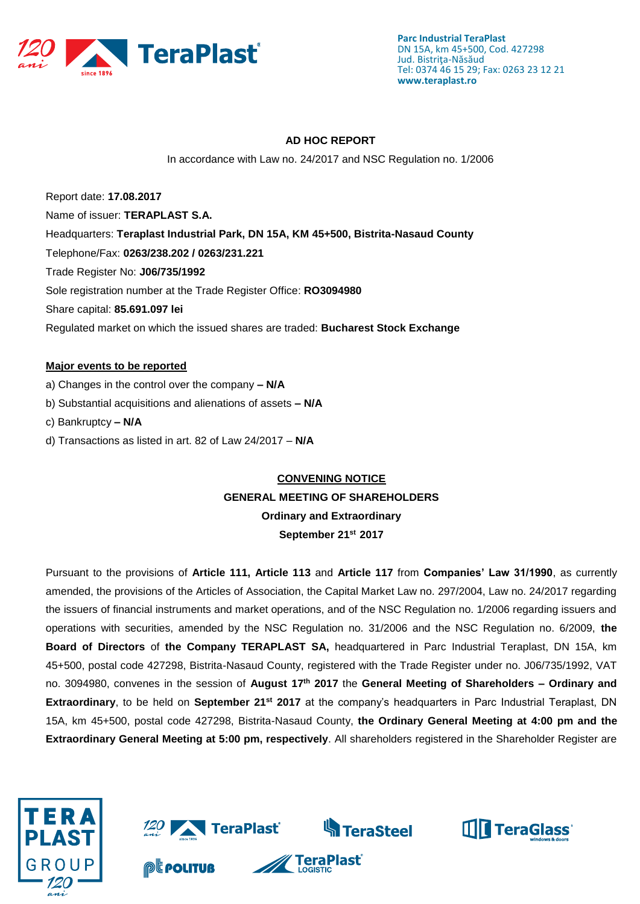

#### **AD HOC REPORT**

In accordance with Law no. 24/2017 and NSC Regulation no. 1/2006

Report date: **17.08.2017** Name of issuer: **TERAPLAST S.A.**  Headquarters: **Teraplast Industrial Park, DN 15A, KM 45+500, Bistrita-Nasaud County** Telephone/Fax: **0263/238.202 / 0263/231.221** Trade Register No: **J06/735/1992** Sole registration number at the Trade Register Office: **RO3094980** Share capital: **85.691.097 lei**  Regulated market on which the issued shares are traded: **Bucharest Stock Exchange**

#### **Major events to be reported**

- a) Changes in the control over the company **– N/A**
- b) Substantial acquisitions and alienations of assets **– N/A**
- c) Bankruptcy **– N/A**
- d) Transactions as listed in art. 82 of Law 24/2017 **N/A**

# **CONVENING NOTICE GENERAL MEETING OF SHAREHOLDERS Ordinary and Extraordinary September 21st 2017**

Pursuant to the provisions of **Article 111, Article 113** and **Article 117** from **Companies' Law 31/1990**, as currently amended, the provisions of the Articles of Association, the Capital Market Law no. 297/2004, Law no. 24/2017 regarding the issuers of financial instruments and market operations, and of the NSC Regulation no. 1/2006 regarding issuers and operations with securities, amended by the NSC Regulation no. 31/2006 and the NSC Regulation no. 6/2009, **the Board of Directors** of **the Company TERAPLAST SA,** headquartered in Parc Industrial Teraplast, DN 15A, km 45+500, postal code 427298, Bistrita-Nasaud County, registered with the Trade Register under no. J06/735/1992, VAT no. 3094980, convenes in the session of **August 17th 2017** the **General Meeting of Shareholders – Ordinary and Extraordinary**, to be held on **September 21st 2017** at the company's headquarters in Parc Industrial Teraplast, DN 15A, km 45+500, postal code 427298, Bistrita-Nasaud County, **the Ordinary General Meeting at 4:00 pm and the Extraordinary General Meeting at 5:00 pm, respectively**. All shareholders registered in the Shareholder Register are

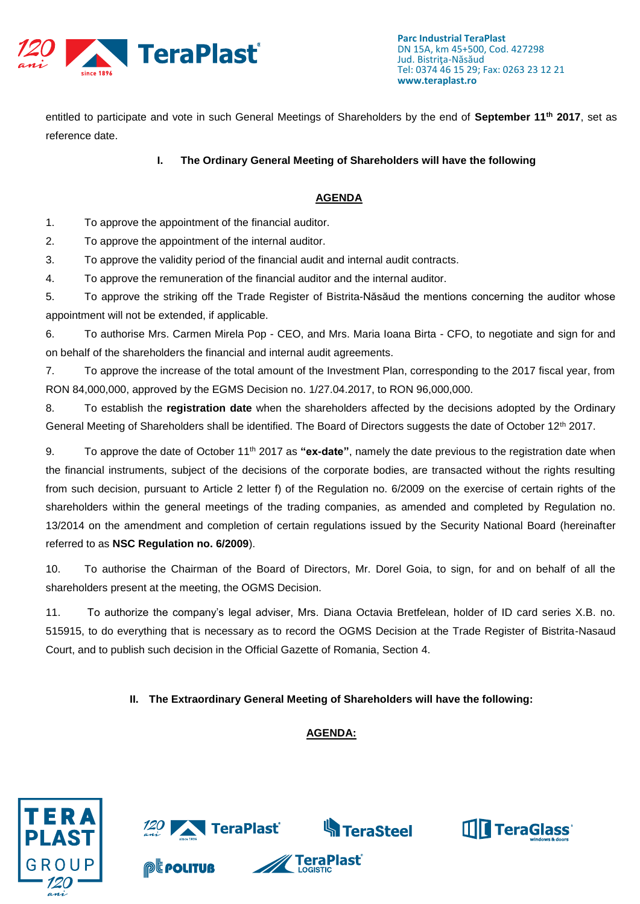

entitled to participate and vote in such General Meetings of Shareholders by the end of **September 11th 2017**, set as reference date.

#### **I. The Ordinary General Meeting of Shareholders will have the following**

### **AGENDA**

1. To approve the appointment of the financial auditor.

2. To approve the appointment of the internal auditor.

3. To approve the validity period of the financial audit and internal audit contracts.

4. To approve the remuneration of the financial auditor and the internal auditor.

5. To approve the striking off the Trade Register of Bistrita-Năsăud the mentions concerning the auditor whose appointment will not be extended, if applicable.

6. To authorise Mrs. Carmen Mirela Pop - CEO, and Mrs. Maria Ioana Birta - CFO, to negotiate and sign for and on behalf of the shareholders the financial and internal audit agreements.

7. To approve the increase of the total amount of the Investment Plan, corresponding to the 2017 fiscal year, from RON 84,000,000, approved by the EGMS Decision no. 1/27.04.2017, to RON 96,000,000.

8. To establish the **registration date** when the shareholders affected by the decisions adopted by the Ordinary General Meeting of Shareholders shall be identified. The Board of Directors suggests the date of October 12<sup>th</sup> 2017.

9. To approve the date of October 11th 2017 as **"ex-date"**, namely the date previous to the registration date when the financial instruments, subject of the decisions of the corporate bodies, are transacted without the rights resulting from such decision, pursuant to Article 2 letter f) of the Regulation no. 6/2009 on the exercise of certain rights of the shareholders within the general meetings of the trading companies, as amended and completed by Regulation no. 13/2014 on the amendment and completion of certain regulations issued by the Security National Board (hereinafter referred to as **NSC Regulation no. 6/2009**).

10. To authorise the Chairman of the Board of Directors, Mr. Dorel Goia, to sign, for and on behalf of all the shareholders present at the meeting, the OGMS Decision.

11. To authorize the company's legal adviser, Mrs. Diana Octavia Bretfelean, holder of ID card series X.B. no. 515915, to do everything that is necessary as to record the OGMS Decision at the Trade Register of Bistrita-Nasaud Court, and to publish such decision in the Official Gazette of Romania, Section 4.

#### **II. The Extraordinary General Meeting of Shareholders will have the following:**

## **AGENDA:**



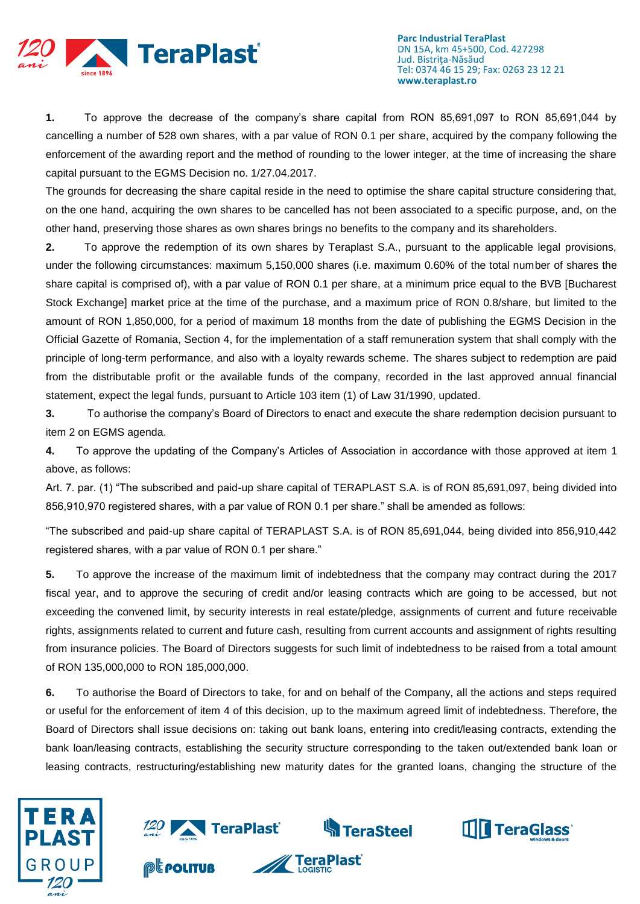

**1.** To approve the decrease of the company's share capital from RON 85,691,097 to RON 85,691,044 by cancelling a number of 528 own shares, with a par value of RON 0.1 per share, acquired by the company following the enforcement of the awarding report and the method of rounding to the lower integer, at the time of increasing the share capital pursuant to the EGMS Decision no. 1/27.04.2017.

The grounds for decreasing the share capital reside in the need to optimise the share capital structure considering that, on the one hand, acquiring the own shares to be cancelled has not been associated to a specific purpose, and, on the other hand, preserving those shares as own shares brings no benefits to the company and its shareholders.

**2.** To approve the redemption of its own shares by Teraplast S.A., pursuant to the applicable legal provisions, under the following circumstances: maximum 5,150,000 shares (i.e. maximum 0.60% of the total number of shares the share capital is comprised of), with a par value of RON 0.1 per share, at a minimum price equal to the BVB [Bucharest Stock Exchange] market price at the time of the purchase, and a maximum price of RON 0.8/share, but limited to the amount of RON 1,850,000, for a period of maximum 18 months from the date of publishing the EGMS Decision in the Official Gazette of Romania, Section 4, for the implementation of a staff remuneration system that shall comply with the principle of long-term performance, and also with a loyalty rewards scheme. The shares subject to redemption are paid from the distributable profit or the available funds of the company, recorded in the last approved annual financial statement, expect the legal funds, pursuant to Article 103 item (1) of Law 31/1990, updated.

**3.** To authorise the company's Board of Directors to enact and execute the share redemption decision pursuant to item 2 on EGMS agenda.

**4.** To approve the updating of the Company's Articles of Association in accordance with those approved at item 1 above, as follows:

Art. 7. par. (1) "The subscribed and paid-up share capital of TERAPLAST S.A. is of RON 85,691,097, being divided into 856,910,970 registered shares, with a par value of RON 0.1 per share." shall be amended as follows:

"The subscribed and paid-up share capital of TERAPLAST S.A. is of RON 85,691,044, being divided into 856,910,442 registered shares, with a par value of RON 0.1 per share."

**5.** To approve the increase of the maximum limit of indebtedness that the company may contract during the 2017 fiscal year, and to approve the securing of credit and/or leasing contracts which are going to be accessed, but not exceeding the convened limit, by security interests in real estate/pledge, assignments of current and future receivable rights, assignments related to current and future cash, resulting from current accounts and assignment of rights resulting from insurance policies. The Board of Directors suggests for such limit of indebtedness to be raised from a total amount of RON 135,000,000 to RON 185,000,000.

**6.** To authorise the Board of Directors to take, for and on behalf of the Company, all the actions and steps required or useful for the enforcement of item 4 of this decision, up to the maximum agreed limit of indebtedness. Therefore, the Board of Directors shall issue decisions on: taking out bank loans, entering into credit/leasing contracts, extending the bank loan/leasing contracts, establishing the security structure corresponding to the taken out/extended bank loan or leasing contracts, restructuring/establishing new maturity dates for the granted loans, changing the structure of the

**TeraPlast<sup>®</sup>** 





**@E politur** 

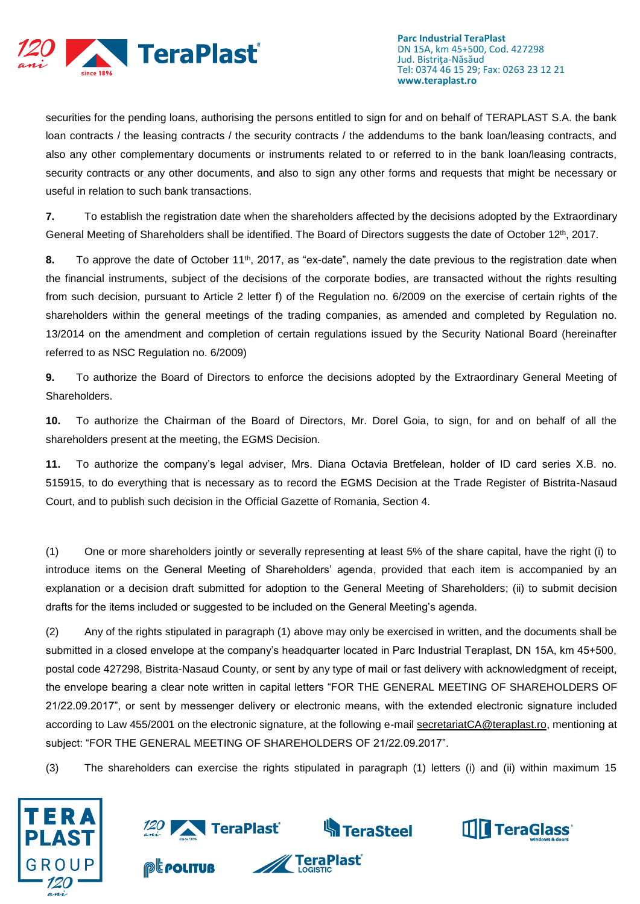

securities for the pending loans, authorising the persons entitled to sign for and on behalf of TERAPLAST S.A. the bank loan contracts / the leasing contracts / the security contracts / the addendums to the bank loan/leasing contracts, and also any other complementary documents or instruments related to or referred to in the bank loan/leasing contracts, security contracts or any other documents, and also to sign any other forms and requests that might be necessary or useful in relation to such bank transactions.

**7.** To establish the registration date when the shareholders affected by the decisions adopted by the Extraordinary General Meeting of Shareholders shall be identified. The Board of Directors suggests the date of October 12<sup>th</sup>, 2017.

**8.** To approve the date of October 11<sup>th</sup>, 2017, as "ex-date", namely the date previous to the registration date when the financial instruments, subject of the decisions of the corporate bodies, are transacted without the rights resulting from such decision, pursuant to Article 2 letter f) of the Regulation no. 6/2009 on the exercise of certain rights of the shareholders within the general meetings of the trading companies, as amended and completed by Regulation no. 13/2014 on the amendment and completion of certain regulations issued by the Security National Board (hereinafter referred to as NSC Regulation no. 6/2009)

**9.** To authorize the Board of Directors to enforce the decisions adopted by the Extraordinary General Meeting of Shareholders.

**10.** To authorize the Chairman of the Board of Directors, Mr. Dorel Goia, to sign, for and on behalf of all the shareholders present at the meeting, the EGMS Decision.

**11.** To authorize the company's legal adviser, Mrs. Diana Octavia Bretfelean, holder of ID card series X.B. no. 515915, to do everything that is necessary as to record the EGMS Decision at the Trade Register of Bistrita-Nasaud Court, and to publish such decision in the Official Gazette of Romania, Section 4.

(1) One or more shareholders jointly or severally representing at least 5% of the share capital, have the right (i) to introduce items on the General Meeting of Shareholders' agenda, provided that each item is accompanied by an explanation or a decision draft submitted for adoption to the General Meeting of Shareholders; (ii) to submit decision drafts for the items included or suggested to be included on the General Meeting's agenda.

(2) Any of the rights stipulated in paragraph (1) above may only be exercised in written, and the documents shall be submitted in a closed envelope at the company's headquarter located in Parc Industrial Teraplast, DN 15A, km 45+500, postal code 427298, Bistrita-Nasaud County, or sent by any type of mail or fast delivery with acknowledgment of receipt, the envelope bearing a clear note written in capital letters "FOR THE GENERAL MEETING OF SHAREHOLDERS OF 21/22.09.2017", or sent by messenger delivery or electronic means, with the extended electronic signature included according to Law 455/2001 on the electronic signature, at the following e-mail [secretariatCA@teraplast.ro,](mailto:secretariatCA@teraplast.ro) mentioning at subject: "FOR THE GENERAL MEETING OF SHAREHOLDERS OF 21/22.09.2017".

(3) The shareholders can exercise the rights stipulated in paragraph (1) letters (i) and (ii) within maximum 15



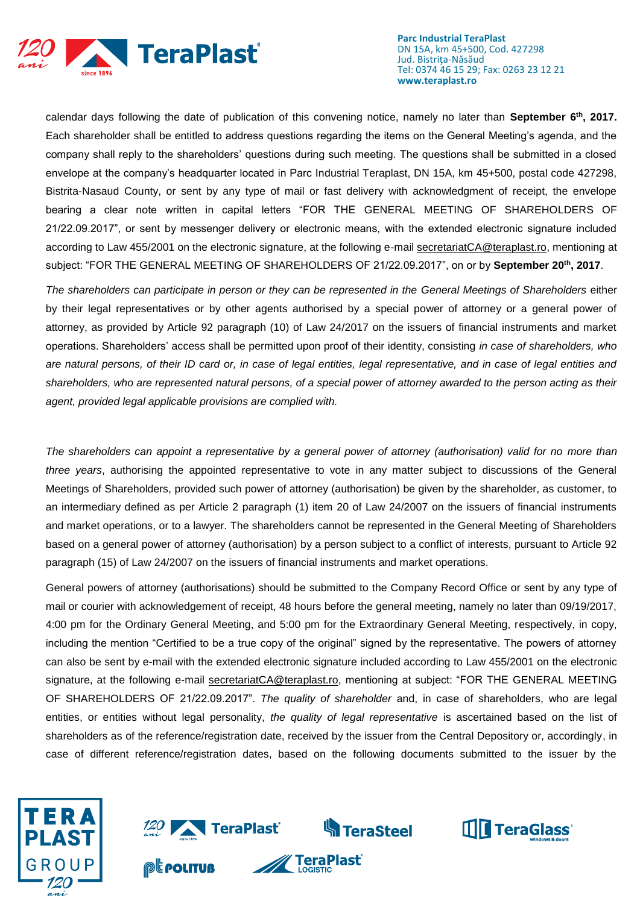

calendar days following the date of publication of this convening notice, namely no later than **September 6th, 2017.**  Each shareholder shall be entitled to address questions regarding the items on the General Meeting's agenda, and the company shall reply to the shareholders' questions during such meeting. The questions shall be submitted in a closed envelope at the company's headquarter located in Parc Industrial Teraplast, DN 15A, km 45+500, postal code 427298, Bistrita-Nasaud County, or sent by any type of mail or fast delivery with acknowledgment of receipt, the envelope bearing a clear note written in capital letters "FOR THE GENERAL MEETING OF SHAREHOLDERS OF 21/22.09.2017", or sent by messenger delivery or electronic means, with the extended electronic signature included according to Law 455/2001 on the electronic signature, at the following e-mail [secretariatCA@teraplast.ro,](mailto:secretariatCA@teraplast.ro) mentioning at subject: "FOR THE GENERAL MEETING OF SHAREHOLDERS OF 21/22.09.2017", on or by **September 20th, 2017**.

*The shareholders can participate in person or they can be represented in the General Meetings of Shareholders* either by their legal representatives or by other agents authorised by a special power of attorney or a general power of attorney, as provided by Article 92 paragraph (10) of Law 24/2017 on the issuers of financial instruments and market operations. Shareholders' access shall be permitted upon proof of their identity, consisting *in case of shareholders, who are natural persons, of their ID card or, in case of legal entities, legal representative, and in case of legal entities and shareholders, who are represented natural persons, of a special power of attorney awarded to the person acting as their agent, provided legal applicable provisions are complied with.*

*The shareholders can appoint a representative by a general power of attorney (authorisation) valid for no more than three years*, authorising the appointed representative to vote in any matter subject to discussions of the General Meetings of Shareholders, provided such power of attorney (authorisation) be given by the shareholder, as customer, to an intermediary defined as per Article 2 paragraph (1) item 20 of Law 24/2007 on the issuers of financial instruments and market operations, or to a lawyer. The shareholders cannot be represented in the General Meeting of Shareholders based on a general power of attorney (authorisation) by a person subject to a conflict of interests, pursuant to Article 92 paragraph (15) of Law 24/2007 on the issuers of financial instruments and market operations.

General powers of attorney (authorisations) should be submitted to the Company Record Office or sent by any type of mail or courier with acknowledgement of receipt, 48 hours before the general meeting, namely no later than 09/19/2017, 4:00 pm for the Ordinary General Meeting, and 5:00 pm for the Extraordinary General Meeting, respectively, in copy, including the mention "Certified to be a true copy of the original" signed by the representative. The powers of attorney can also be sent by e-mail with the extended electronic signature included according to Law 455/2001 on the electronic signature, at the following e-mail [secretariatCA@teraplast.ro,](mailto:secretariatCA@teraplast.ro) mentioning at subject: "FOR THE GENERAL MEETING OF SHAREHOLDERS OF 21/22.09.2017". *The quality of shareholder* and, in case of shareholders, who are legal entities, or entities without legal personality, *the quality of legal representative* is ascertained based on the list of shareholders as of the reference/registration date, received by the issuer from the Central Depository or, accordingly, in case of different reference/registration dates, based on the following documents submitted to the issuer by the



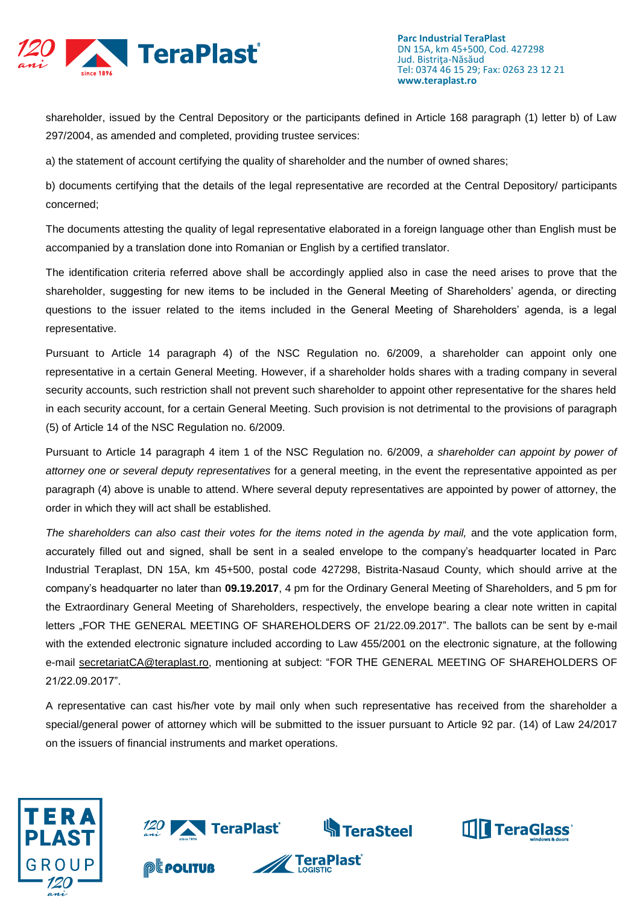

shareholder, issued by the Central Depository or the participants defined in Article 168 paragraph (1) letter b) of Law 297/2004, as amended and completed, providing trustee services:

a) the statement of account certifying the quality of shareholder and the number of owned shares;

b) documents certifying that the details of the legal representative are recorded at the Central Depository/ participants concerned;

The documents attesting the quality of legal representative elaborated in a foreign language other than English must be accompanied by a translation done into Romanian or English by a certified translator.

The identification criteria referred above shall be accordingly applied also in case the need arises to prove that the shareholder, suggesting for new items to be included in the General Meeting of Shareholders' agenda, or directing questions to the issuer related to the items included in the General Meeting of Shareholders' agenda, is a legal representative.

Pursuant to Article 14 paragraph 4) of the NSC Regulation no. 6/2009, a shareholder can appoint only one representative in a certain General Meeting. However, if a shareholder holds shares with a trading company in several security accounts, such restriction shall not prevent such shareholder to appoint other representative for the shares held in each security account, for a certain General Meeting. Such provision is not detrimental to the provisions of paragraph (5) of Article 14 of the NSC Regulation no. 6/2009.

Pursuant to Article 14 paragraph 4 item 1 of the NSC Regulation no. 6/2009, *a shareholder can appoint by power of attorney one or several deputy representatives* for a general meeting, in the event the representative appointed as per paragraph (4) above is unable to attend. Where several deputy representatives are appointed by power of attorney, the order in which they will act shall be established.

The shareholders can also cast their votes for the items noted in the agenda by mail, and the vote application form, accurately filled out and signed, shall be sent in a sealed envelope to the company's headquarter located in Parc Industrial Teraplast, DN 15A, km 45+500, postal code 427298, Bistrita-Nasaud County, which should arrive at the company's headquarter no later than **09.19.2017**, 4 pm for the Ordinary General Meeting of Shareholders, and 5 pm for the Extraordinary General Meeting of Shareholders, respectively, the envelope bearing a clear note written in capital letters "FOR THE GENERAL MEETING OF SHAREHOLDERS OF 21/22.09.2017". The ballots can be sent by e-mail with the extended electronic signature included according to Law 455/2001 on the electronic signature, at the following e-mail [secretariatCA@teraplast.ro,](mailto:secretariatCA@teraplast.ro) mentioning at subject: "FOR THE GENERAL MEETING OF SHAREHOLDERS OF 21/22.09.2017".

A representative can cast his/her vote by mail only when such representative has received from the shareholder a special/general power of attorney which will be submitted to the issuer pursuant to Article 92 par. (14) of Law 24/2017 on the issuers of financial instruments and market operations.



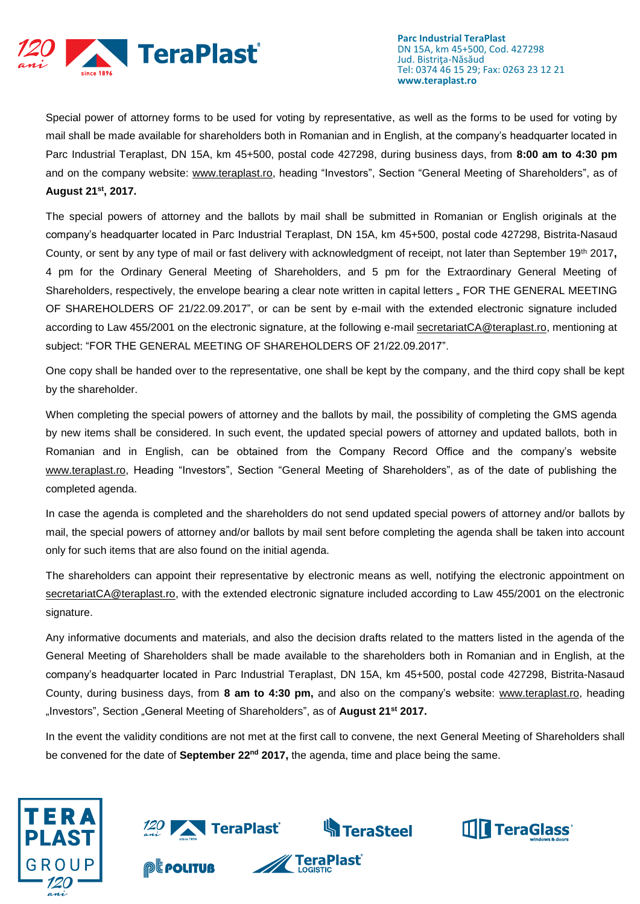

Special power of attorney forms to be used for voting by representative, as well as the forms to be used for voting by mail shall be made available for shareholders both in Romanian and in English, at the company's headquarter located in Parc Industrial Teraplast, DN 15A, km 45+500, postal code 427298, during business days, from **8:00 am to 4:30 pm** and on the company website: [www.teraplast.ro,](http://www.teraplast.ro/) heading "Investors", Section "General Meeting of Shareholders", as of **August 21st , 2017.**

The special powers of attorney and the ballots by mail shall be submitted in Romanian or English originals at the company's headquarter located in Parc Industrial Teraplast, DN 15A, km 45+500, postal code 427298, Bistrita-Nasaud County, or sent by any type of mail or fast delivery with acknowledgment of receipt, not later than September 19th 2017**,** 4 pm for the Ordinary General Meeting of Shareholders, and 5 pm for the Extraordinary General Meeting of Shareholders, respectively, the envelope bearing a clear note written in capital letters " FOR THE GENERAL MEETING OF SHAREHOLDERS OF 21/22.09.2017", or can be sent by e-mail with the extended electronic signature included according to Law 455/2001 on the electronic signature, at the following e-mail [secretariatCA@teraplast.ro,](mailto:secretariatCA@teraplast.ro) mentioning at subject: "FOR THE GENERAL MEETING OF SHAREHOLDERS OF 21/22.09.2017".

One copy shall be handed over to the representative, one shall be kept by the company, and the third copy shall be kept by the shareholder.

When completing the special powers of attorney and the ballots by mail, the possibility of completing the GMS agenda by new items shall be considered. In such event, the updated special powers of attorney and updated ballots, both in Romanian and in English, can be obtained from the Company Record Office and the company's website [www.teraplast.ro,](http://www.teraplast.ro/) Heading "Investors", Section "General Meeting of Shareholders", as of the date of publishing the completed agenda.

In case the agenda is completed and the shareholders do not send updated special powers of attorney and/or ballots by mail, the special powers of attorney and/or ballots by mail sent before completing the agenda shall be taken into account only for such items that are also found on the initial agenda.

The shareholders can appoint their representative by electronic means as well, notifying the electronic appointment on [secretariatCA@teraplast.ro,](mailto:secretariatCA@teraplast.ro) with the extended electronic signature included according to Law 455/2001 on the electronic signature.

Any informative documents and materials, and also the decision drafts related to the matters listed in the agenda of the General Meeting of Shareholders shall be made available to the shareholders both in Romanian and in English, at the company's headquarter located in Parc Industrial Teraplast, DN 15A, km 45+500, postal code 427298, Bistrita-Nasaud County, during business days, from **8 am to 4:30 pm,** and also on the company's website: [www.teraplast.ro,](http://www.teraplast.ro/) heading "Investors", Section "General Meeting of Shareholders", as of **August 21st 2017.**

In the event the validity conditions are not met at the first call to convene, the next General Meeting of Shareholders shall be convened for the date of **September 22nd 2017,** the agenda, time and place being the same.